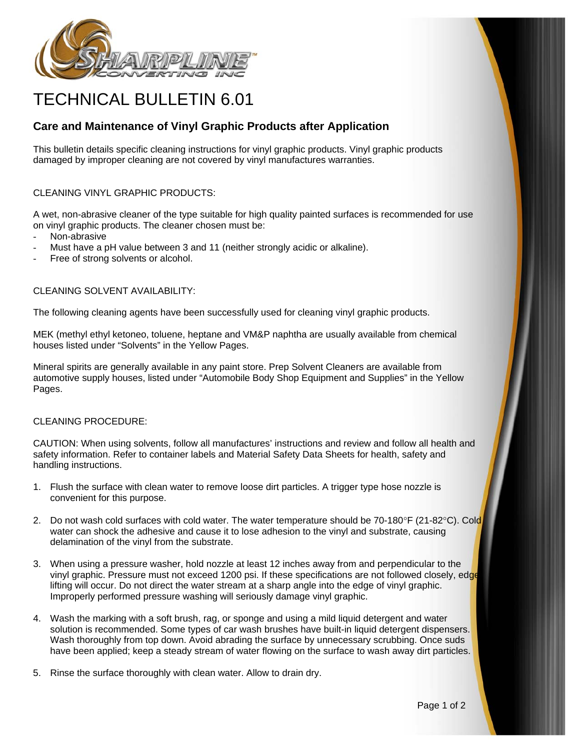

# TECHNICAL BULLETIN 6.01

# **Care and Maintenance of Vinyl Graphic Products after Application**

This bulletin details specific cleaning instructions for vinyl graphic products. Vinyl graphic products damaged by improper cleaning are not covered by vinyl manufactures warranties.

## CLEANING VINYL GRAPHIC PRODUCTS:

A wet, non-abrasive cleaner of the type suitable for high quality painted surfaces is recommended for use on vinyl graphic products. The cleaner chosen must be:

- Non-abrasive
- Must have a pH value between 3 and 11 (neither strongly acidic or alkaline).
- Free of strong solvents or alcohol.

#### CLEANING SOLVENT AVAILABILITY:

The following cleaning agents have been successfully used for cleaning vinyl graphic products.

MEK (methyl ethyl ketoneo, toluene, heptane and VM&P naphtha are usually available from chemical houses listed under "Solvents" in the Yellow Pages.

Mineral spirits are generally available in any paint store. Prep Solvent Cleaners are available from automotive supply houses, listed under "Automobile Body Shop Equipment and Supplies" in the Yellow Pages.

### CLEANING PROCEDURE:

CAUTION: When using solvents, follow all manufactures' instructions and review and follow all health and safety information. Refer to container labels and Material Safety Data Sheets for health, safety and handling instructions.

- 1. Flush the surface with clean water to remove loose dirt particles. A trigger type hose nozzle is convenient for this purpose.
- 2. Do not wash cold surfaces with cold water. The water temperature should be 70-180°F (21-82°C). Cold water can shock the adhesive and cause it to lose adhesion to the vinyl and substrate, causing delamination of the vinyl from the substrate.
- 3. When using a pressure washer, hold nozzle at least 12 inches away from and perpendicular to the vinyl graphic. Pressure must not exceed 1200 psi. If these specifications are not followed closely, edge lifting will occur. Do not direct the water stream at a sharp angle into the edge of vinyl graphic. Improperly performed pressure washing will seriously damage vinyl graphic.
- 4. Wash the marking with a soft brush, rag, or sponge and using a mild liquid detergent and water solution is recommended. Some types of car wash brushes have built-in liquid detergent dispensers. Wash thoroughly from top down. Avoid abrading the surface by unnecessary scrubbing. Once suds have been applied; keep a steady stream of water flowing on the surface to wash away dirt particles.
- 5. Rinse the surface thoroughly with clean water. Allow to drain dry.